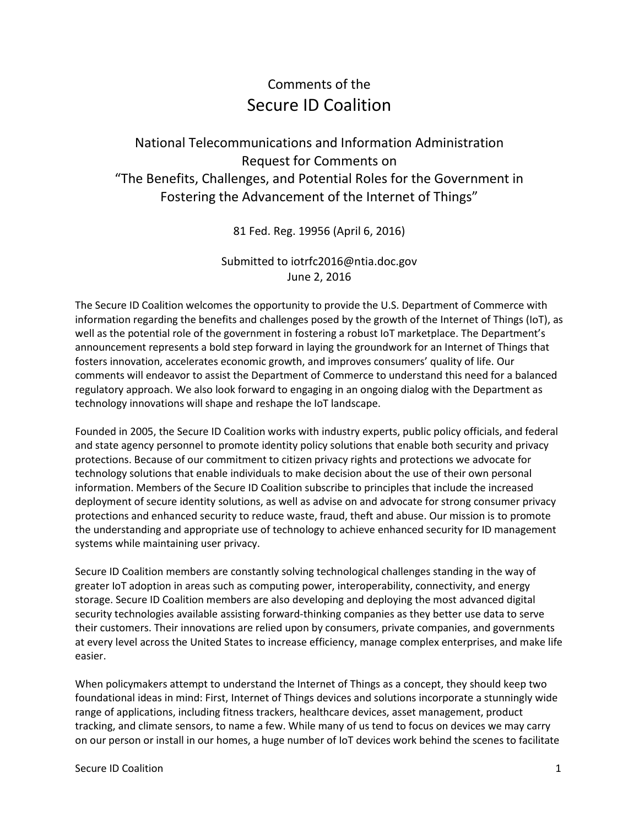## Comments of the Secure ID Coalition

## National Telecommunications and Information Administration Request for Comments on "The Benefits, Challenges, and Potential Roles for the Government in Fostering the Advancement of the Internet of Things"

81 Fed. Reg. 19956 (April 6, 2016)

## Submitted to iotrfc2016@ntia.doc.gov June 2, 2016

The Secure ID Coalition welcomes the opportunity to provide the U.S. Department of Commerce with information regarding the benefits and challenges posed by the growth of the Internet of Things (IoT), as well as the potential role of the government in fostering a robust IoT marketplace. The Department's announcement represents a bold step forward in laying the groundwork for an Internet of Things that fosters innovation, accelerates economic growth, and improves consumers' quality of life. Our comments will endeavor to assist the Department of Commerce to understand this need for a balanced regulatory approach. We also look forward to engaging in an ongoing dialog with the Department as technology innovations will shape and reshape the IoT landscape.

Founded in 2005, the Secure ID Coalition works with industry experts, public policy officials, and federal and state agency personnel to promote identity policy solutions that enable both security and privacy protections. Because of our commitment to citizen privacy rights and protections we advocate for technology solutions that enable individuals to make decision about the use of their own personal information. Members of the Secure ID Coalition subscribe to principles that include the increased deployment of secure identity solutions, as well as advise on and advocate for strong consumer privacy protections and enhanced security to reduce waste, fraud, theft and abuse. Our mission is to promote the understanding and appropriate use of technology to achieve enhanced security for ID management systems while maintaining user privacy.

Secure ID Coalition members are constantly solving technological challenges standing in the way of greater IoT adoption in areas such as computing power, interoperability, connectivity, and energy storage. Secure ID Coalition members are also developing and deploying the most advanced digital security technologies available assisting forward-thinking companies as they better use data to serve their customers. Their innovations are relied upon by consumers, private companies, and governments at every level across the United States to increase efficiency, manage complex enterprises, and make life easier.

When policymakers attempt to understand the Internet of Things as a concept, they should keep two foundational ideas in mind: First, Internet of Things devices and solutions incorporate a stunningly wide range of applications, including fitness trackers, healthcare devices, asset management, product tracking, and climate sensors, to name a few. While many of us tend to focus on devices we may carry on our person or install in our homes, a huge number of IoT devices work behind the scenes to facilitate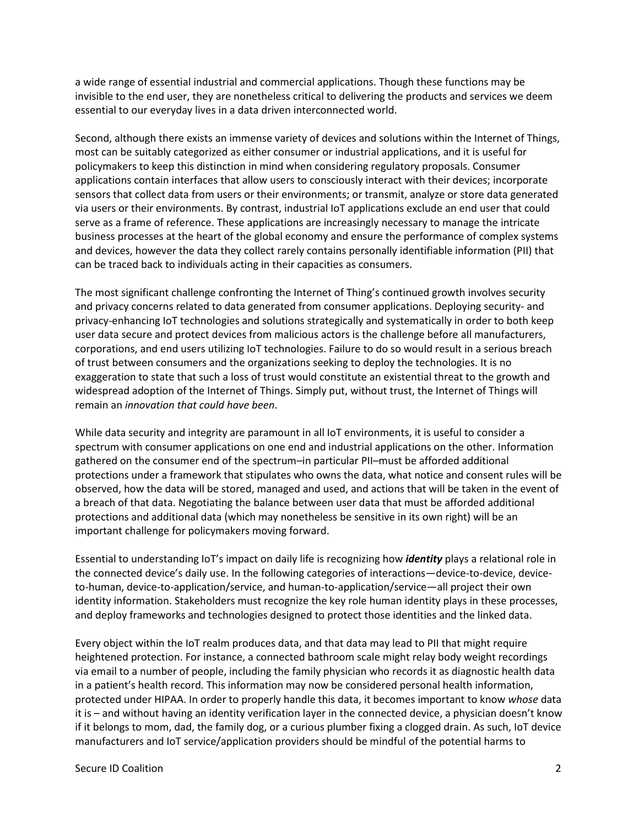a wide range of essential industrial and commercial applications. Though these functions may be invisible to the end user, they are nonetheless critical to delivering the products and services we deem essential to our everyday lives in a data driven interconnected world.

Second, although there exists an immense variety of devices and solutions within the Internet of Things, most can be suitably categorized as either consumer or industrial applications, and it is useful for policymakers to keep this distinction in mind when considering regulatory proposals. Consumer applications contain interfaces that allow users to consciously interact with their devices; incorporate sensors that collect data from users or their environments; or transmit, analyze or store data generated via users or their environments. By contrast, industrial IoT applications exclude an end user that could serve as a frame of reference. These applications are increasingly necessary to manage the intricate business processes at the heart of the global economy and ensure the performance of complex systems and devices, however the data they collect rarely contains personally identifiable information (PII) that can be traced back to individuals acting in their capacities as consumers.

The most significant challenge confronting the Internet of Thing's continued growth involves security and privacy concerns related to data generated from consumer applications. Deploying security- and privacy-enhancing IoT technologies and solutions strategically and systematically in order to both keep user data secure and protect devices from malicious actors is the challenge before all manufacturers, corporations, and end users utilizing IoT technologies. Failure to do so would result in a serious breach of trust between consumers and the organizations seeking to deploy the technologies. It is no exaggeration to state that such a loss of trust would constitute an existential threat to the growth and widespread adoption of the Internet of Things. Simply put, without trust, the Internet of Things will remain an *innovation that could have been*.

While data security and integrity are paramount in all IoT environments, it is useful to consider a spectrum with consumer applications on one end and industrial applications on the other. Information gathered on the consumer end of the spectrum–in particular PII–must be afforded additional protections under a framework that stipulates who owns the data, what notice and consent rules will be observed, how the data will be stored, managed and used, and actions that will be taken in the event of a breach of that data. Negotiating the balance between user data that must be afforded additional protections and additional data (which may nonetheless be sensitive in its own right) will be an important challenge for policymakers moving forward.

Essential to understanding IoT's impact on daily life is recognizing how *identity* plays a relational role in the connected device's daily use. In the following categories of interactions—device-to-device, deviceto-human, device-to-application/service, and human-to-application/service—all project their own identity information. Stakeholders must recognize the key role human identity plays in these processes, and deploy frameworks and technologies designed to protect those identities and the linked data.

Every object within the IoT realm produces data, and that data may lead to PII that might require heightened protection. For instance, a connected bathroom scale might relay body weight recordings via email to a number of people, including the family physician who records it as diagnostic health data in a patient's health record. This information may now be considered personal health information, protected under HIPAA. In order to properly handle this data, it becomes important to know *whose* data it is – and without having an identity verification layer in the connected device, a physician doesn't know if it belongs to mom, dad, the family dog, or a curious plumber fixing a clogged drain. As such, IoT device manufacturers and IoT service/application providers should be mindful of the potential harms to